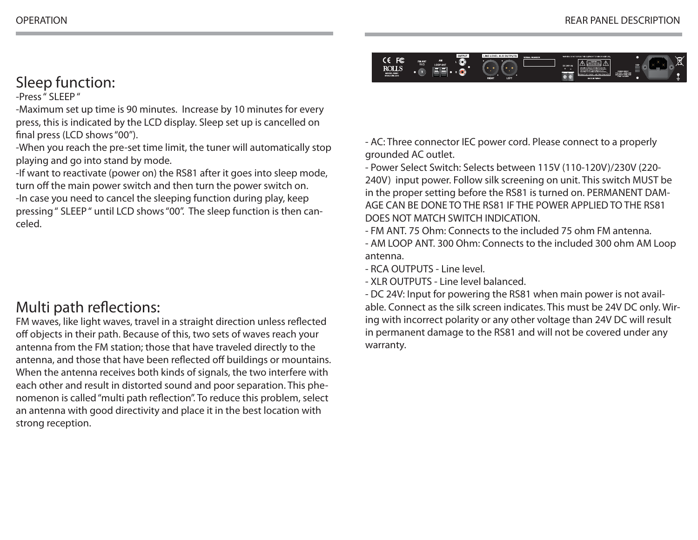

## Sleep function:

-Press " SLEEP "

-Maximum set up time is 90 minutes. Increase by 10 minutes for every press, this is indicated by the LCD display. Sleep set up is cancelled on final press (LCD shows "00").

-When you reach the pre-set time limit, the tuner will automatically stop playing and go into stand by mode.

-If want to reactivate (power on) the RS81 after it goes into sleep mode, turn off the main power switch and then turn the power switch on. -In case you need to cancel the sleeping function during play, keep pressing " SLEEP " until LCD shows "00". The sleep function is then canceled.

## Multi path reflections:

FM waves, like light waves, travel in a straight direction unless reflected off objects in their path. Because of this, two sets of waves reach your antenna from the FM station; those that have traveled directly to the antenna, and those that have been reflected off buildings or mountains. When the antenna receives both kinds of signals, the two interfere with each other and result in distorted sound and poor separation. This phenomenon is called "multi path reflection". To reduce this problem, select an antenna with good directivity and place it in the best location with strong reception.

- AC: Three connector IEC power cord. Please connect to a properly grounded AC outlet.

- Power Select Switch: Selects between 115V (110-120V)/230V (220- 240V) input power. Follow silk screening on unit. This switch MUST be in the proper setting before the RS81 is turned on. PERMANENT DAM-AGE CAN BE DONE TO THE RS81 IF THE POWER APPLIED TO THE RS81 DOES NOT MATCH SWITCH INDICATION.

- FM ANT. 75 Ohm: Connects to the included 75 ohm FM antenna.

- AM LOOP ANT. 300 Ohm: Connects to the included 300 ohm AM Loop antenna.

- RCA OUTPUTS - Line level.

- XLR OUTPUTS - Line level balanced.

- DC 24V: Input for powering the RS81 when main power is not available. Connect as the silk screen indicates. This must be 24V DC only. Wiring with incorrect polarity or any other voltage than 24V DC will result in permanent damage to the RS81 and will not be covered under any warranty.